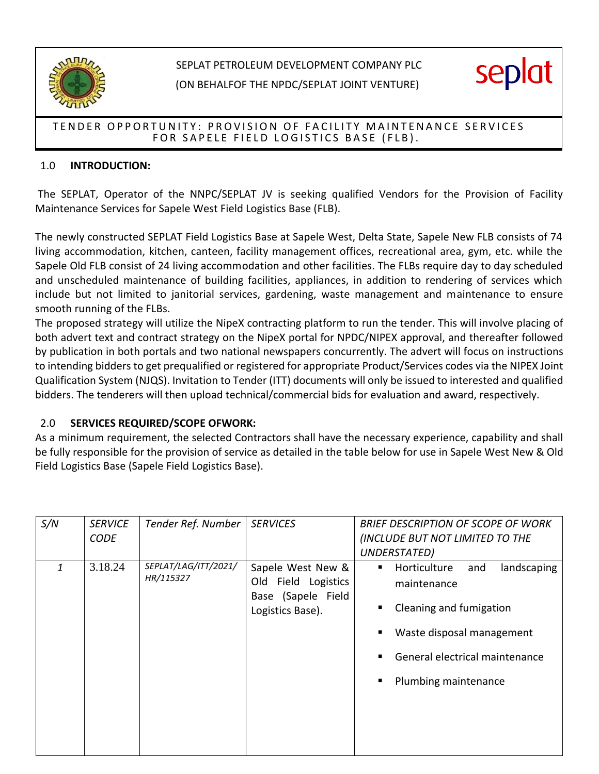

# SEPLAT PETROLEUM DEVELOPMENT COMPANY PLC

(ON BEHALFOF THE NPDC/SEPLAT JOINT VENTURE)



## TENDER OPPORTUNITY: PROVISION OF FACILITY MAINTENANCE SERVICES FOR SAPELE FIELD LOGISTICS BASE (FLB).

## 1.0 **INTRODUCTION:**

The SEPLAT, Operator of the NNPC/SEPLAT JV is seeking qualified Vendors for the Provision of Facility Maintenance Services for Sapele West Field Logistics Base (FLB).

The newly constructed SEPLAT Field Logistics Base at Sapele West, Delta State, Sapele New FLB consists of 74 living accommodation, kitchen, canteen, facility management offices, recreational area, gym, etc. while the Sapele Old FLB consist of 24 living accommodation and other facilities. The FLBs require day to day scheduled and unscheduled maintenance of building facilities, appliances, in addition to rendering of services which include but not limited to janitorial services, gardening, waste management and maintenance to ensure smooth running of the FLBs.

The proposed strategy will utilize the NipeX contracting platform to run the tender. This will involve placing of both advert text and contract strategy on the NipeX portal for NPDC/NIPEX approval, and thereafter followed by publication in both portals and two national newspapers concurrently. The advert will focus on instructions to intending bidders to get prequalified or registered for appropriate Product/Services codes via the NIPEX Joint Qualification System (NJQS). Invitation to Tender (ITT) documents will only be issued to interested and qualified bidders. The tenderers will then upload technical/commercial bids for evaluation and award, respectively.

## 2.0 **SERVICES REQUIRED/SCOPE OFWORK:**

As a minimum requirement, the selected Contractors shall have the necessary experience, capability and shall be fully responsible for the provision of service as detailed in the table below for use in Sapele West New & Old Field Logistics Base (Sapele Field Logistics Base).

| S/N | <b>SERVICE</b><br><b>CODE</b> | Tender Ref. Number                | <b>SERVICES</b>                                                                    | <b>BRIEF DESCRIPTION OF SCOPE OF WORK</b><br>(INCLUDE BUT NOT LIMITED TO THE<br>UNDERSTATED)                                                                             |
|-----|-------------------------------|-----------------------------------|------------------------------------------------------------------------------------|--------------------------------------------------------------------------------------------------------------------------------------------------------------------------|
| 1   | 3.18.24                       | SEPLAT/LAG/ITT/2021/<br>HR/115327 | Sapele West New &<br>Old Field Logistics<br>Base (Sapele Field<br>Logistics Base). | Horticulture<br>landscaping<br>and<br>٠<br>maintenance<br>Cleaning and fumigation<br>Waste disposal management<br>General electrical maintenance<br>Plumbing maintenance |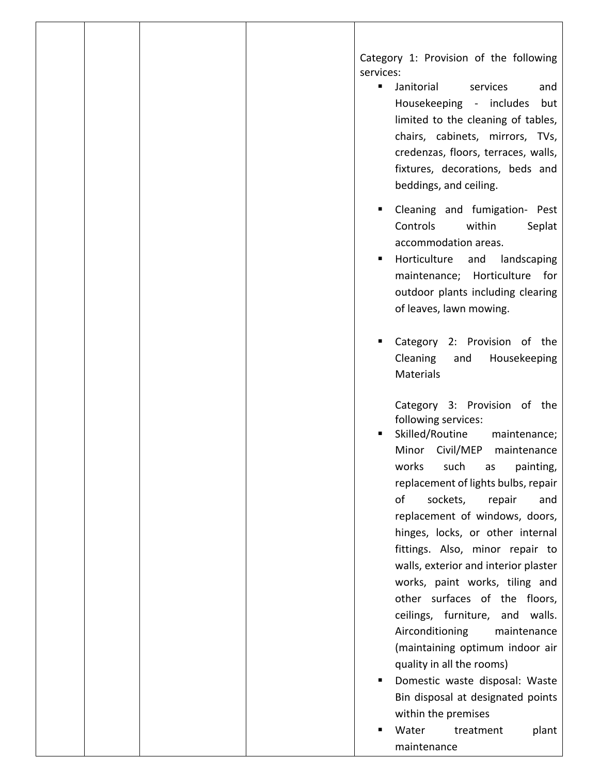Category 1: Provision of the following services:

- Janitorial services and Housekeeping - includes but limited to the cleaning of tables, chairs, cabinets, mirrors, TVs, credenzas, floors, terraces, walls, fixtures, decorations, beds and beddings, and ceiling.
- **E** Cleaning and fumigation- Pest Controls within Seplat accommodation areas.
- Horticulture and landscaping maintenance; Horticulture for outdoor plants including clearing of leaves, lawn mowing.
- Category 2: Provision of the Cleaning and Housekeeping **Materials**

Category 3: Provision of the following services:

- Skilled/Routine maintenance; Minor Civil/MEP maintenance works such as painting, replacement of lights bulbs, repair of sockets, repair and replacement of windows, doors, hinges, locks, or other internal fittings. Also, minor repair to walls, exterior and interior plaster works, paint works, tiling and other surfaces of the floors, ceilings, furniture, and walls. Airconditioning maintenance (maintaining optimum indoor air quality in all the rooms)
- Domestic waste disposal: Waste Bin disposal at designated points within the premises
- Water treatment plant maintenance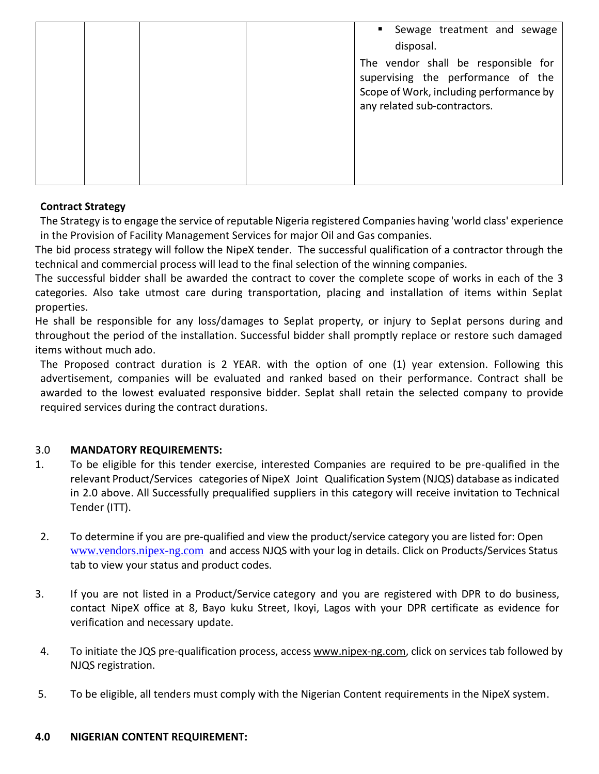|  |  | Sewage treatment and sewage<br>disposal.                                                                                                             |
|--|--|------------------------------------------------------------------------------------------------------------------------------------------------------|
|  |  | The vendor shall be responsible for<br>supervising the performance of the<br>Scope of Work, including performance by<br>any related sub-contractors. |
|  |  |                                                                                                                                                      |

## **Contract Strategy**

The Strategy is to engage the service of reputable Nigeria registered Companies having 'world class' experience in the Provision of Facility Management Services for major Oil and Gas companies.

The bid process strategy will follow the NipeX tender. The successful qualification of a contractor through the technical and commercial process will lead to the final selection of the winning companies.

The successful bidder shall be awarded the contract to cover the complete scope of works in each of the 3 categories. Also take utmost care during transportation, placing and installation of items within Seplat properties.

He shall be responsible for any loss/damages to Seplat property, or injury to Seplat persons during and throughout the period of the installation. Successful bidder shall promptly replace or restore such damaged items without much ado.

The Proposed contract duration is 2 YEAR. with the option of one (1) year extension. Following this advertisement, companies will be evaluated and ranked based on their performance. Contract shall be awarded to the lowest evaluated responsive bidder. Seplat shall retain the selected company to provide required services during the contract durations.

#### 3.0 **MANDATORY REQUIREMENTS:**

- 1. To be eligible for this tender exercise, interested Companies are required to be pre-qualified in the relevant Product/Services categories of NipeX Joint Qualification System (NJQS) database as indicated in 2.0 above. All Successfully prequalified suppliers in this category will receive invitation to Technical Tender (ITT).
- 2. To determine if you are pre-qualified and view the product/service category you are listed for: Open [www.vendors.nipex-ng.com](http://www.vendors.nipex-ng.com/) and access NJQS with your log in details. Click on Products/Services Status tab to view your status and product codes.
- 3. If you are not listed in a Product/Service category and you are registered with DPR to do business, contact NipeX office at 8, Bayo kuku Street, Ikoyi, Lagos with your DPR certificate as evidence for verification and necessary update.
- 4. To initiate the JQS pre-qualification process, acces[s www.nipex-ng.com,](http://www.nipex-ng.com/) click on services tab followed by NJQS registration.
- 5. To be eligible, all tenders must comply with the Nigerian Content requirements in the NipeX system.

#### **4.0 NIGERIAN CONTENT REQUIREMENT:**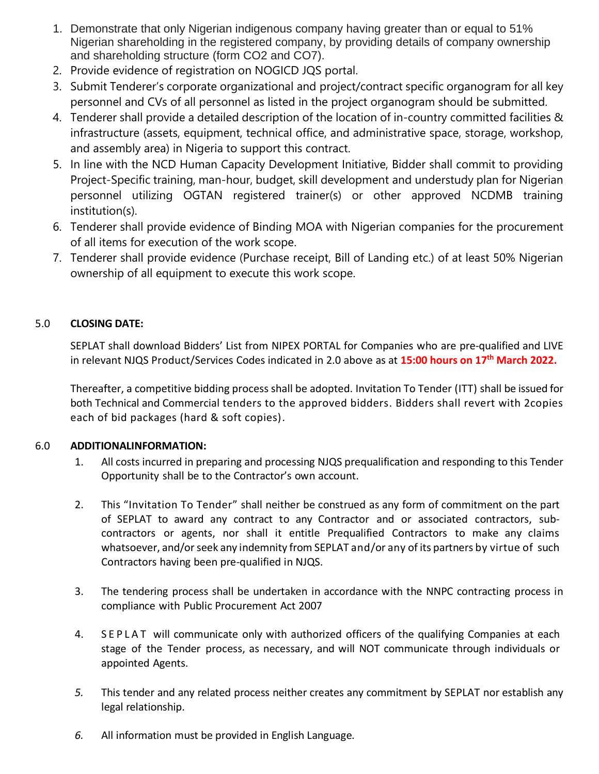- 1. Demonstrate that only Nigerian indigenous company having greater than or equal to 51% Nigerian shareholding in the registered company, by providing details of company ownership and shareholding structure (form CO2 and CO7).
- 2. Provide evidence of registration on NOGICD JQS portal.
- 3. Submit Tenderer's corporate organizational and project/contract specific organogram for all key personnel and CVs of all personnel as listed in the project organogram should be submitted.
- 4. Tenderer shall provide a detailed description of the location of in-country committed facilities & infrastructure (assets, equipment, technical office, and administrative space, storage, workshop, and assembly area) in Nigeria to support this contract.
- 5. In line with the NCD Human Capacity Development Initiative, Bidder shall commit to providing Project-Specific training, man-hour, budget, skill development and understudy plan for Nigerian personnel utilizing OGTAN registered trainer(s) or other approved NCDMB training institution(s).
- 6. Tenderer shall provide evidence of Binding MOA with Nigerian companies for the procurement of all items for execution of the work scope.
- 7. Tenderer shall provide evidence (Purchase receipt, Bill of Landing etc.) of at least 50% Nigerian ownership of all equipment to execute this work scope.

## 5.0 **CLOSING DATE:**

SEPLAT shall download Bidders' List from NIPEX PORTAL for Companies who are pre-qualified and LIVE in relevant NJQS Product/Services Codes indicated in 2.0 above as at **15:00 hours on 17 th March 2022.**

Thereafter, a competitive bidding process shall be adopted. Invitation To Tender (ITT) shall be issued for both Technical and Commercial tenders to the approved bidders. Bidders shall revert with 2copies each of bid packages (hard & soft copies).

## 6.0 **ADDITIONALINFORMATION:**

- 1. All costs incurred in preparing and processing NJQS prequalification and responding to this Tender Opportunity shall be to the Contractor's own account.
- 2. This "Invitation To Tender" shall neither be construed as any form of commitment on the part of SEPLAT to award any contract to any Contractor and or associated contractors, subcontractors or agents, nor shall it entitle Prequalified Contractors to make any claims whatsoever, and/or seek any indemnity from SEPLAT and/or any of its partners by virtue of such Contractors having been pre-qualified in NJQS.
- 3. The tendering process shall be undertaken in accordance with the NNPC contracting process in compliance with Public Procurement Act 2007
- 4. SEPLAT will communicate only with authorized officers of the qualifying Companies at each stage of the Tender process, as necessary, and will NOT communicate through individuals or appointed Agents.
- *5.* This tender and any related process neither creates any commitment by SEPLAT nor establish any legal relationship*.*
- *6.* All information must be provided in English Language*.*